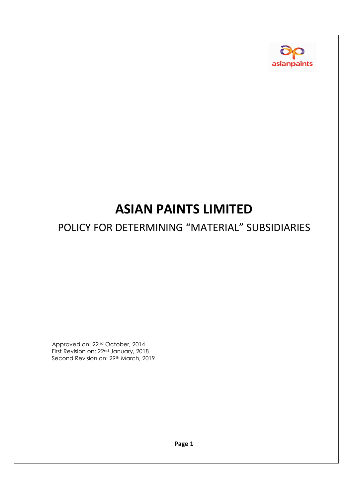

# **ASIAN PAINTS LIMITED**

## POLICY FOR DETERMINING "MATERIAL" SUBSIDIARIES

Approved on: 22nd October, 2014 First Revision on: 22nd January, 2018 Second Revision on: 29<sup>th</sup> March, 2019

**Page 1**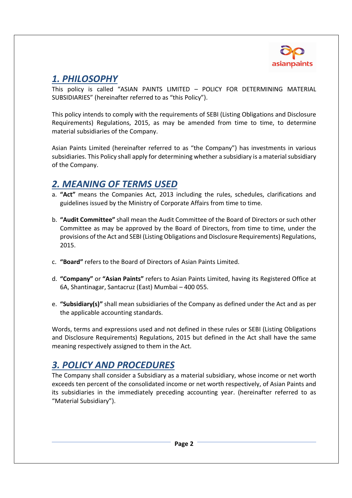

#### *1. PHILOSOPHY*

This policy is called "ASIAN PAINTS LIMITED – POLICY FOR DETERMINING MATERIAL SUBSIDIARIES" (hereinafter referred to as "this Policy").

This policy intends to comply with the requirements of SEBI (Listing Obligations and Disclosure Requirements) Regulations, 2015, as may be amended from time to time, to determine material subsidiaries of the Company.

Asian Paints Limited (hereinafter referred to as "the Company") has investments in various subsidiaries. This Policy shall apply for determining whether a subsidiary is a material subsidiary of the Company.

#### *2. MEANING OF TERMS USED*

- a. **"Act"** means the Companies Act, 2013 including the rules, schedules, clarifications and guidelines issued by the Ministry of Corporate Affairs from time to time.
- b. **"Audit Committee"** shall mean the Audit Committee of the Board of Directors or such other Committee as may be approved by the Board of Directors, from time to time, under the provisions of the Act and SEBI (Listing Obligations and Disclosure Requirements) Regulations, 2015.
- c. **"Board"** refers to the Board of Directors of Asian Paints Limited.
- d. **"Company"** or **"Asian Paints"** refers to Asian Paints Limited, having its Registered Office at 6A, Shantinagar, Santacruz (East) Mumbai – 400 055.
- e. **"Subsidiary(s)"** shall mean subsidiaries of the Company as defined under the Act and as per the applicable accounting standards.

Words, terms and expressions used and not defined in these rules or SEBI (Listing Obligations and Disclosure Requirements) Regulations, 2015 but defined in the Act shall have the same meaning respectively assigned to them in the Act.

### *3. POLICY AND PROCEDURES*

The Company shall consider a Subsidiary as a material subsidiary, whose income or net worth exceeds ten percent of the consolidated income or net worth respectively, of Asian Paints and its subsidiaries in the immediately preceding accounting year. (hereinafter referred to as "Material Subsidiary").